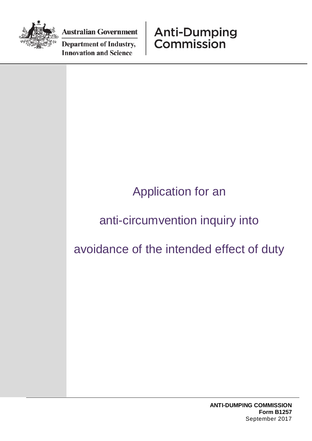

**Australian Government** 

**Department of Industry, Innovation and Science** 

**Anti-Dumping** Commission

## Application for an

## anti-circumvention inquiry into

avoidance of the intended effect of duty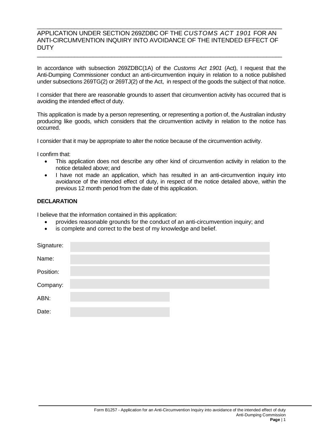## \_\_\_\_\_\_\_\_\_\_\_\_\_\_\_\_\_\_\_\_\_\_\_\_\_\_\_\_\_\_\_\_\_\_\_\_\_\_\_\_\_\_\_\_\_\_\_\_\_\_\_\_\_\_\_\_\_\_\_\_\_\_\_\_\_\_\_\_\_\_\_\_\_\_\_\_\_\_\_ APPLICATION UNDER SECTION 269ZDBC OF THE *CUSTOMS ACT 1901* FOR AN ANTI-CIRCUMVENTION INQUIRY INTO AVOIDANCE OF THE INTENDED EFFECT OF **DUTY**

\_\_\_\_\_\_\_\_\_\_\_\_\_\_\_\_\_\_\_\_\_\_\_\_\_\_\_\_\_\_\_\_\_\_\_\_\_\_\_\_\_\_\_\_\_\_\_\_\_\_\_\_\_\_\_\_\_\_\_\_\_\_\_\_\_\_\_\_\_\_\_\_\_\_\_\_\_\_\_

In accordance with subsection 269ZDBC(1A) of the *Customs Act 1901* (Act), I request that the Anti-Dumping Commissioner conduct an anti-circumvention inquiry in relation to a notice published under subsections 269TG(2) or 269TJ(2) of the Act, in respect of the goods the subject of that notice.

I consider that there are reasonable grounds to assert that circumvention activity has occurred that is avoiding the intended effect of duty.

This application is made by a person representing, or representing a portion of, the Australian industry producing like goods, which considers that the circumvention activity in relation to the notice has occurred.

I consider that it may be appropriate to alter the notice because of the circumvention activity.

I confirm that:

- This application does not describe any other kind of circumvention activity in relation to the notice detailed above; and
- I have not made an application, which has resulted in an anti-circumvention inquiry into avoidance of the intended effect of duty, in respect of the notice detailed above, within the previous 12 month period from the date of this application.

## **DECLARATION**

I believe that the information contained in this application:

- provides reasonable grounds for the conduct of an anti-circumvention inquiry; and
- is complete and correct to the best of my knowledge and belief.

| Signature: |  |  |
|------------|--|--|
| Name:      |  |  |
| Position:  |  |  |
| Company:   |  |  |
| ABN:       |  |  |
| Date:      |  |  |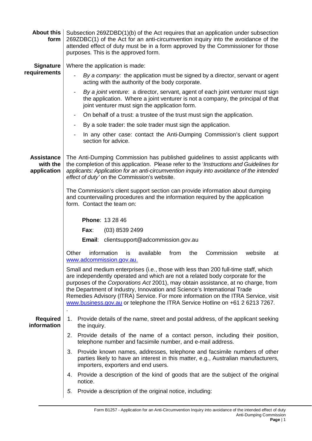| <b>About this</b><br>form                    | Subsection 269ZDBD(1)(b) of the Act requires that an application under subsection<br>269ZDBC(1) of the Act for an anti-circumvention inquiry into the avoidance of the<br>attended effect of duty must be in a form approved by the Commissioner for those<br>purposes. This is the approved form.                                                                                                                   |  |  |  |
|----------------------------------------------|----------------------------------------------------------------------------------------------------------------------------------------------------------------------------------------------------------------------------------------------------------------------------------------------------------------------------------------------------------------------------------------------------------------------|--|--|--|
| <b>Signature</b>                             | Where the application is made:                                                                                                                                                                                                                                                                                                                                                                                       |  |  |  |
| requirements                                 | By a company: the application must be signed by a director, servant or agent<br>acting with the authority of the body corporate.                                                                                                                                                                                                                                                                                     |  |  |  |
|                                              | By a joint venture: a director, servant, agent of each joint venturer must sign<br>-<br>the application. Where a joint venturer is not a company, the principal of that<br>joint venturer must sign the application form.                                                                                                                                                                                            |  |  |  |
|                                              | On behalf of a trust: a trustee of the trust must sign the application.<br>-                                                                                                                                                                                                                                                                                                                                         |  |  |  |
|                                              | By a sole trader: the sole trader must sign the application.<br>-                                                                                                                                                                                                                                                                                                                                                    |  |  |  |
|                                              | In any other case: contact the Anti-Dumping Commission's client support<br>section for advice.                                                                                                                                                                                                                                                                                                                       |  |  |  |
| <b>Assistance</b><br>with the<br>application | The Anti-Dumping Commission has published guidelines to assist applicants with<br>the completion of this application. Please refer to the 'Instructions and Guidelines for<br>applicants: Application for an anti-circumvention inquiry into avoidance of the intended<br>effect of duty' on the Commission's website.                                                                                               |  |  |  |
|                                              | The Commission's client support section can provide information about dumping<br>and countervailing procedures and the information required by the application<br>form. Contact the team on:                                                                                                                                                                                                                         |  |  |  |
|                                              | <b>Phone: 13 28 46</b>                                                                                                                                                                                                                                                                                                                                                                                               |  |  |  |
|                                              | Fax:<br>$(03)$ 8539 2499                                                                                                                                                                                                                                                                                                                                                                                             |  |  |  |
|                                              | <b>Email:</b> clientsupport@adcommission.gov.au                                                                                                                                                                                                                                                                                                                                                                      |  |  |  |
|                                              | information<br>available<br>Other<br>from<br>the<br>Commission<br>is<br>website<br>at<br>www.adcommission.gov.au.                                                                                                                                                                                                                                                                                                    |  |  |  |
|                                              | Small and medium enterprises (i.e., those with less than 200 full-time staff, which                                                                                                                                                                                                                                                                                                                                  |  |  |  |
|                                              | are independently operated and which are not a related body corporate for the<br>purposes of the Corporations Act 2001), may obtain assistance, at no charge, from<br>the Department of Industry, Innovation and Science's International Trade<br>Remedies Advisory (ITRA) Service. For more information on the ITRA Service, visit<br>www.business.gov.au or telephone the ITRA Service Hotline on +61 2 6213 7267. |  |  |  |
| <b>Required</b><br>information               | 1. Provide details of the name, street and postal address, of the applicant seeking<br>the inquiry.                                                                                                                                                                                                                                                                                                                  |  |  |  |
|                                              | 2. Provide details of the name of a contact person, including their position,<br>telephone number and facsimile number, and e-mail address.                                                                                                                                                                                                                                                                          |  |  |  |
|                                              | Provide known names, addresses, telephone and facsimile numbers of other<br>3.<br>parties likely to have an interest in this matter, e.g., Australian manufacturers,<br>importers, exporters and end users.                                                                                                                                                                                                          |  |  |  |
|                                              | Provide a description of the kind of goods that are the subject of the original<br>4.<br>notice.                                                                                                                                                                                                                                                                                                                     |  |  |  |